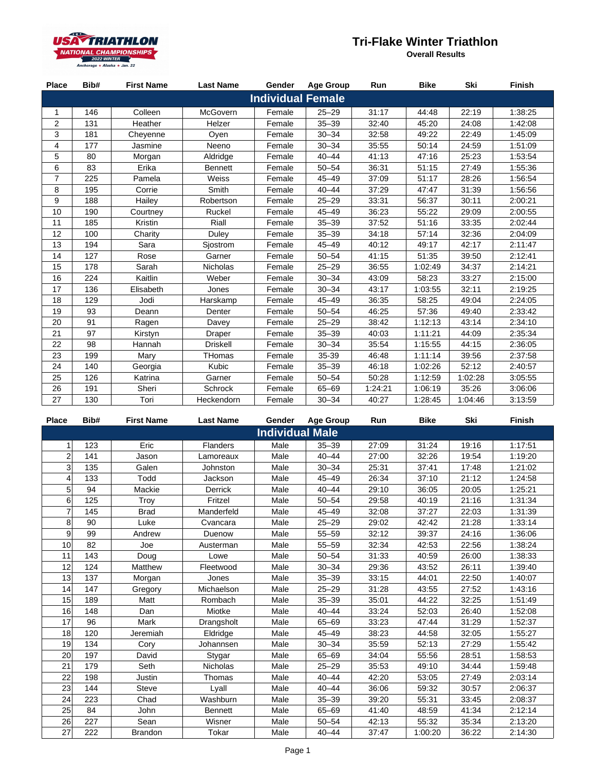

## **Tri-Flake Winter Triathlon**

**Overall Results**

| <b>Place</b>             | Bib# | <b>First Name</b> | <b>Last Name</b> | Gender | <b>Age Group</b> | Run     | <b>Bike</b> | Ski     | <b>Finish</b> |  |
|--------------------------|------|-------------------|------------------|--------|------------------|---------|-------------|---------|---------------|--|
| <b>Individual Female</b> |      |                   |                  |        |                  |         |             |         |               |  |
| 1                        | 146  | Colleen           | <b>McGovern</b>  | Female | $25 - 29$        | 31:17   | 44:48       | 22:19   | 1:38:25       |  |
| 2                        | 131  | Heather           | Helzer           | Female | $35 - 39$        | 32:40   | 45:20       | 24:08   | 1:42:08       |  |
| 3                        | 181  | Cheyenne          | Oven             | Female | $30 - 34$        | 32:58   | 49:22       | 22:49   | 1:45:09       |  |
| 4                        | 177  | Jasmine           | Neeno            | Female | $30 - 34$        | 35:55   | 50:14       | 24:59   | 1:51:09       |  |
| 5                        | 80   | Morgan            | Aldridge         | Female | $40 - 44$        | 41:13   | 47:16       | 25:23   | 1:53:54       |  |
| 6                        | 83   | Erika             | <b>Bennett</b>   | Female | $50 - 54$        | 36:31   | 51:15       | 27:49   | 1:55:36       |  |
| $\overline{7}$           | 225  | Pamela            | Weiss            | Female | $45 - 49$        | 37:09   | 51:17       | 28:26   | 1:56:54       |  |
| 8                        | 195  | Corrie            | Smith            | Female | $40 - 44$        | 37:29   | 47:47       | 31:39   | 1:56:56       |  |
| 9                        | 188  | Hailey            | Robertson        | Female | $25 - 29$        | 33:31   | 56:37       | 30:11   | 2:00:21       |  |
| 10                       | 190  | Courtney          | Ruckel           | Female | $45 - 49$        | 36:23   | 55:22       | 29:09   | 2:00:55       |  |
| 11                       | 185  | Kristin           | Riall            | Female | $35 - 39$        | 37:52   | 51:16       | 33:35   | 2:02:44       |  |
| 12                       | 100  | Charity           | Duley            | Female | $35 - 39$        | 34:18   | 57:14       | 32:36   | 2:04:09       |  |
| 13                       | 194  | Sara              | Sjostrom         | Female | $45 - 49$        | 40:12   | 49:17       | 42:17   | 2:11:47       |  |
| 14                       | 127  | Rose              | Garner           | Female | $50 - 54$        | 41:15   | 51:35       | 39:50   | 2:12:41       |  |
| 15                       | 178  | Sarah             | <b>Nicholas</b>  | Female | $25 - 29$        | 36:55   | 1:02:49     | 34:37   | 2:14:21       |  |
| 16                       | 224  | Kaitlin           | Weber            | Female | $30 - 34$        | 43:09   | 58:23       | 33:27   | 2:15:00       |  |
| 17                       | 136  | Elisabeth         | Jones            | Female | $30 - 34$        | 43:17   | 1:03:55     | 32:11   | 2:19:25       |  |
| 18                       | 129  | Jodi              | Harskamp         | Female | $45 - 49$        | 36:35   | 58:25       | 49:04   | 2:24:05       |  |
| 19                       | 93   | Deann             | Denter           | Female | $50 - 54$        | 46:25   | 57:36       | 49:40   | 2:33:42       |  |
| 20                       | 91   | Ragen             | Davey            | Female | $25 - 29$        | 38:42   | 1:12:13     | 43:14   | 2:34:10       |  |
| 21                       | 97   | Kirstyn           | <b>Draper</b>    | Female | $35 - 39$        | 40:03   | 1:11:21     | 44:09   | 2:35:34       |  |
| 22                       | 98   | Hannah            | <b>Driskell</b>  | Female | $30 - 34$        | 35:54   | 1:15:55     | 44:15   | 2:36:05       |  |
| 23                       | 199  | Mary              | THomas           | Female | 35-39            | 46:48   | 1:11:14     | 39:56   | 2:37:58       |  |
| 24                       | 140  | Georgia           | Kubic            | Female | $35 - 39$        | 46:18   | 1:02:26     | 52:12   | 2:40:57       |  |
| 25                       | 126  | Katrina           | Garner           | Female | $50 - 54$        | 50:28   | 1:12:59     | 1:02:28 | 3:05:55       |  |
| 26                       | 191  | Sheri             | Schrock          | Female | $65 - 69$        | 1:24:21 | 1:06:19     | 35:26   | 3:06:06       |  |
| 27                       | 130  | Tori              | Heckendorn       | Female | $30 - 34$        | 40:27   | 1:28:45     | 1:04:46 | 3:13:59       |  |

| <b>Place</b>           | Bib# | <b>First Name</b> | <b>Last Name</b> | Gender | <b>Age Group</b> | Run   | <b>Bike</b> | Ski   | <b>Finish</b> |
|------------------------|------|-------------------|------------------|--------|------------------|-------|-------------|-------|---------------|
| <b>Individual Male</b> |      |                   |                  |        |                  |       |             |       |               |
| 1                      | 123  | Eric              | <b>Flanders</b>  | Male   | $35 - 39$        | 27:09 | 31:24       | 19:16 | 1:17:51       |
| $\overline{c}$         | 141  | Jason             | Lamoreaux        | Male   | $40 - 44$        | 27:00 | 32:26       | 19:54 | 1:19:20       |
| $\overline{3}$         | 135  | Galen             | Johnston         | Male   | $30 - 34$        | 25:31 | 37:41       | 17:48 | 1:21:02       |
| 4                      | 133  | Todd              | <b>Jackson</b>   | Male   | $45 - 49$        | 26:34 | 37:10       | 21:12 | 1:24:58       |
| 5                      | 94   | Mackie            | <b>Derrick</b>   | Male   | $40 - 44$        | 29:10 | 36:05       | 20:05 | 1:25:21       |
| 6                      | 125  | Troy              | Fritzel          | Male   | $50 - 54$        | 29:58 | 40:19       | 21:16 | 1:31:34       |
| 7                      | 145  | <b>Brad</b>       | Manderfeld       | Male   | $45 - 49$        | 32:08 | 37:27       | 22:03 | 1:31:39       |
| 8                      | 90   | Luke              | Cvancara         | Male   | $25 - 29$        | 29:02 | 42:42       | 21:28 | 1:33:14       |
| 9                      | 99   | Andrew            | Duenow           | Male   | $55 - 59$        | 32:12 | 39:37       | 24:16 | 1:36:06       |
| 10                     | 82   | Joe               | Austerman        | Male   | $55 - 59$        | 32:34 | 42:53       | 22:56 | 1:38:24       |
| 11                     | 143  | Doug              | Lowe             | Male   | $50 - 54$        | 31:33 | 40:59       | 26:00 | 1:38:33       |
| 12                     | 124  | Matthew           | Fleetwood        | Male   | $30 - 34$        | 29:36 | 43:52       | 26:11 | 1:39:40       |
| 13                     | 137  | Morgan            | Jones            | Male   | $35 - 39$        | 33:15 | 44:01       | 22:50 | 1:40:07       |
| 14                     | 147  | Gregory           | Michaelson       | Male   | $25 - 29$        | 31:28 | 43:55       | 27:52 | 1:43:16       |
| 15                     | 189  | Matt              | Rombach          | Male   | $35 - 39$        | 35:01 | 44:22       | 32:25 | 1:51:49       |
| 16                     | 148  | Dan               | Miotke           | Male   | $40 - 44$        | 33:24 | 52:03       | 26:40 | 1:52:08       |
| 17                     | 96   | Mark              | Drangsholt       | Male   | $65 - 69$        | 33:23 | 47:44       | 31:29 | 1:52:37       |
| 18                     | 120  | Jeremiah          | Eldridge         | Male   | $45 - 49$        | 38:23 | 44:58       | 32:05 | 1:55:27       |
| 19                     | 134  | Cory              | Johannsen        | Male   | $30 - 34$        | 35:59 | 52:13       | 27:29 | 1:55:42       |
| 20                     | 197  | David             | Stygar           | Male   | $65 - 69$        | 34:04 | 55:56       | 28:51 | 1:58:53       |
| 21                     | 179  | Seth              | <b>Nicholas</b>  | Male   | $25 - 29$        | 35:53 | 49:10       | 34:44 | 1:59:48       |
| 22                     | 198  | Justin            | Thomas           | Male   | $40 - 44$        | 42:20 | 53:05       | 27:49 | 2:03:14       |
| 23                     | 144  | <b>Steve</b>      | Lyall            | Male   | $40 - 44$        | 36:06 | 59:32       | 30:57 | 2:06:37       |
| 24                     | 223  | Chad              | Washburn         | Male   | $35 - 39$        | 39:20 | 55:31       | 33:45 | 2:08:37       |
| 25                     | 84   | <b>John</b>       | <b>Bennett</b>   | Male   | $65 - 69$        | 41:40 | 48:59       | 41:34 | 2:12:14       |
| 26                     | 227  | Sean              | Wisner           | Male   | $50 - 54$        | 42:13 | 55:32       | 35:34 | 2:13:20       |
| 27                     | 222  | <b>Brandon</b>    | Tokar            | Male   | $40 - 44$        | 37:47 | 1:00:20     | 36:22 | 2:14:30       |